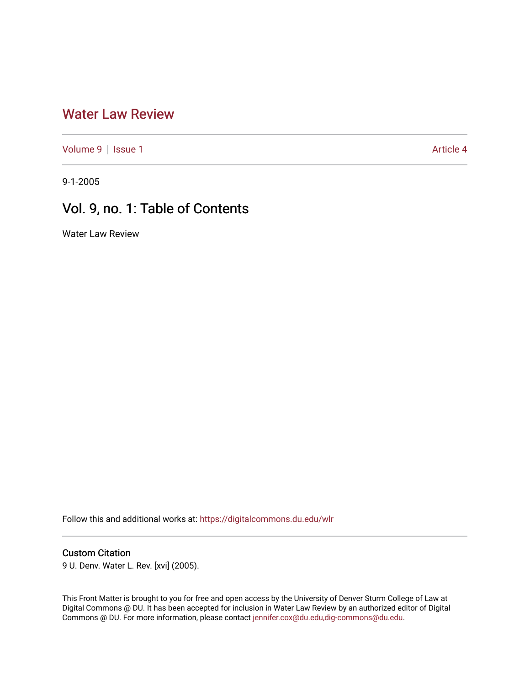# [Water Law Review](https://digitalcommons.du.edu/wlr)

[Volume 9](https://digitalcommons.du.edu/wlr/vol9) | [Issue 1](https://digitalcommons.du.edu/wlr/vol9/iss1) Article 4

9-1-2005

# Vol. 9, no. 1: Table of Contents

Water Law Review

Follow this and additional works at: [https://digitalcommons.du.edu/wlr](https://digitalcommons.du.edu/wlr?utm_source=digitalcommons.du.edu%2Fwlr%2Fvol9%2Fiss1%2F4&utm_medium=PDF&utm_campaign=PDFCoverPages) 

### Custom Citation

9 U. Denv. Water L. Rev. [xvi] (2005).

This Front Matter is brought to you for free and open access by the University of Denver Sturm College of Law at Digital Commons @ DU. It has been accepted for inclusion in Water Law Review by an authorized editor of Digital Commons @ DU. For more information, please contact [jennifer.cox@du.edu,dig-commons@du.edu.](mailto:jennifer.cox@du.edu,dig-commons@du.edu)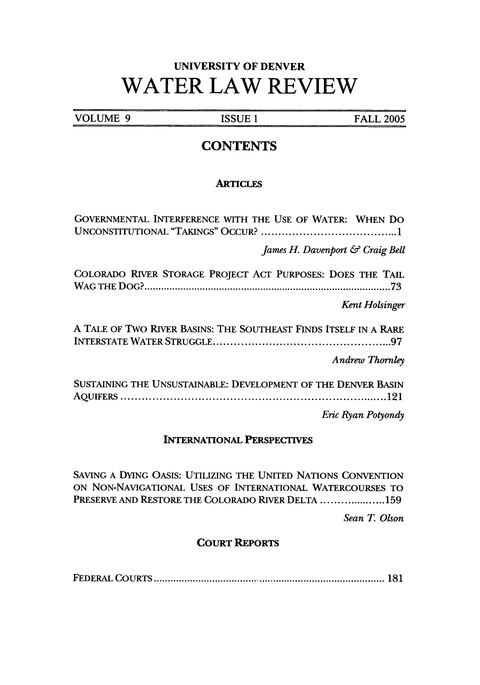# **UNIVERSITY** OF DENVER WATER LAW REVIEW

**VOLUME 9 ISSUE 1** FALL **2005**

## **CONTENTS**

#### **ARTICLES**

GOVERNMENTAL INTERFERENCE WITH THE USE OF WATER: WHEN Do UNCONSTITUTIONAL "TAKINGS" OCCUR? ....................................... 1 *James H. Davenport & Craig Bell* COLORADO RIVER STORAGE PROJECT ACT PURPOSES: DOES THE TAIL W AG TH E D O **G? ......................................................................................... 73** *Kent Holsinger* A TALE OF TWO RIVER BASINS: THE SOUTHEAST FINDS ITSELF IN A RARE INTERSTATE WATER STRUGGLE ................................................. 97 *Andrew Thornley* SUSTAINING THE UNSUSTAINABLE: DEVELOPMENT OF THE DENVER BASIN A Q U IFERS ............................................................................ 121

*Eric Ryan Potyondy*

#### INTERNATIONAL PERSPECTIVES

SAVING **A** DYING OASIS: UTILIZING THE UNITED **NATIONS** CONVENTION **ON** NON-NAVIGATIONAL **USES** OF **INTERNATIONAL** WATERCOURSES TO PRESERVE **AND** RESTORE THE COLORADO RIVER **DELTA** .................... **159**

*Sean T Olson*

### COURT REPORTS

FEDERAL COURTS **..................................... ..** ............................ **181**